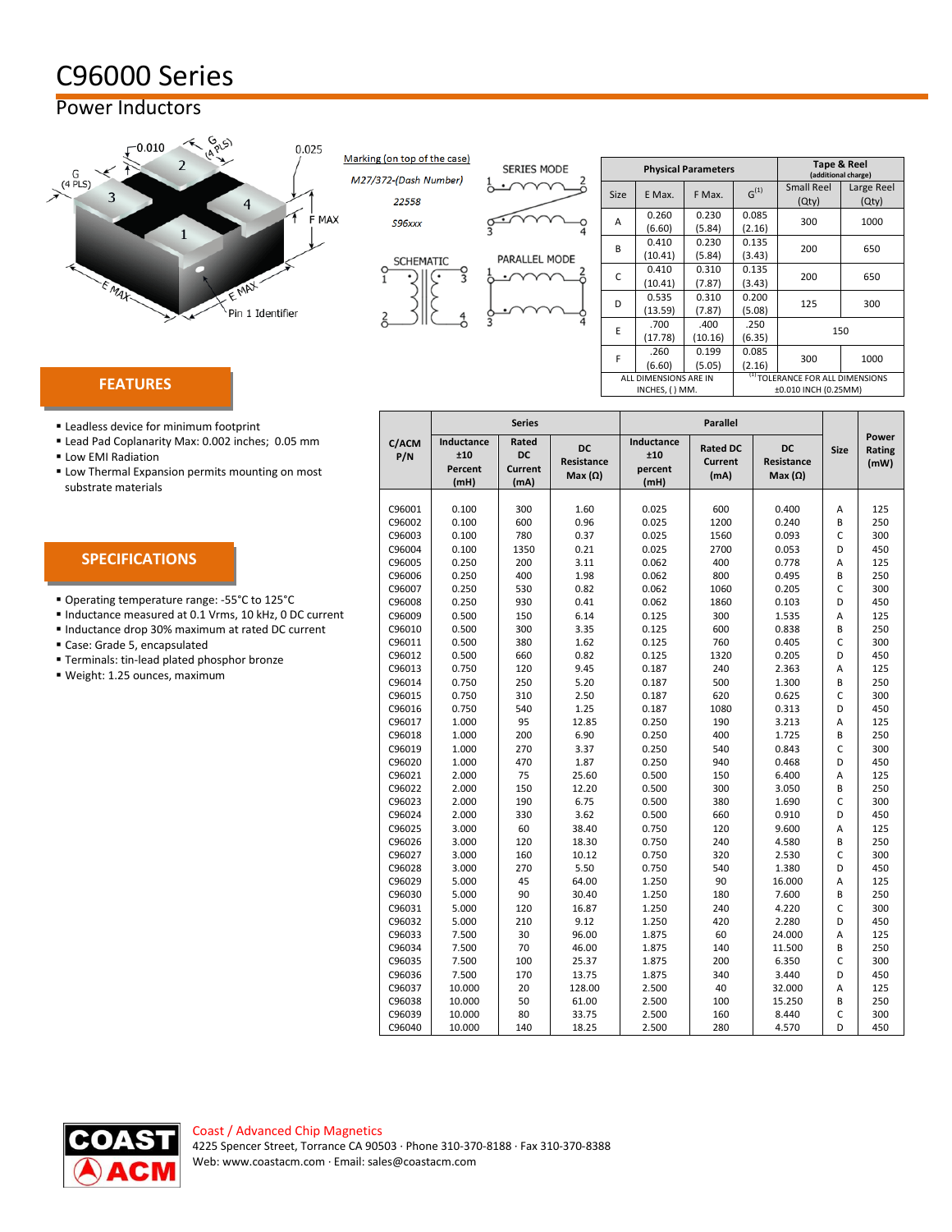## C96000 Series

## Power Inductors



Marking (on top of the case)

M27/372-(Dash Number)

22558

 $\frac{0}{1}$ 

г



| <b>SERIES MODE</b> | <b>Physical Parameters</b>              |                  |                 |                                                                  | Tape & Reel<br>(additional charge) |             |  |
|--------------------|-----------------------------------------|------------------|-----------------|------------------------------------------------------------------|------------------------------------|-------------|--|
|                    | <b>Size</b>                             | E Max.           | F Max.          | $G^{(1)}$                                                        | <b>Small Reel</b><br>(Qty)         | Large<br>(Q |  |
|                    | A                                       | 0.260<br>(6.60)  | 0.230<br>(5.84) | 0.085<br>(2.16)                                                  | 300                                | 10          |  |
| PARALLEL MODE      | B                                       | 0.410<br>(10.41) | 0.230<br>(5.84) | 0.135<br>(3.43)                                                  | 200                                | 65          |  |
|                    | C                                       | 0.410<br>(10.41) | 0.310<br>(7.87) | 0.135<br>(3.43)                                                  | 200                                | 65          |  |
|                    | D                                       | 0.535<br>(13.59) | 0.310<br>(7.87) | 0.200<br>(5.08)                                                  | 125                                | 30          |  |
|                    | E                                       | .700<br>(17.78)  | .400<br>(10.16) | .250<br>(6.35)                                                   | 150                                |             |  |
|                    | F                                       | .260<br>(6.60)   | 0.199<br>(5.05) | 0.085<br>(2.16)                                                  | 300                                | 10          |  |
|                    | ALL DIMENSIONS ARE IN<br>INCHES, () MM. |                  |                 | <sup>(1)</sup> TOLERANCE FOR ALL DIMENSI<br>±0.010 INCH (0.25MM) |                                    |             |  |

|    |                                         |                 | (additional charge) |                                                                     |                     |  |
|----|-----------------------------------------|-----------------|---------------------|---------------------------------------------------------------------|---------------------|--|
| ze | E Max.                                  | F Max.          | $G^{(1)}$           | <b>Small Reel</b><br>(Qty)                                          | Large Reel<br>(Qty) |  |
| 4  | 0.260<br>(6.60)                         | 0.230<br>(5.84) | 0.085<br>(2.16)     | 300                                                                 | 1000                |  |
| 3  | 0.410<br>(10.41)                        | 0.230<br>(5.84) | 0.135<br>(3.43)     | 200                                                                 | 650                 |  |
| Ċ  | 0.410<br>(10.41)                        | 0.310<br>(7.87) | 0.135<br>(3.43)     | 200                                                                 | 650                 |  |
| C  | 0.535<br>(13.59)                        | 0.310<br>(7.87) | 0.200<br>(5.08)     | 125                                                                 | 300                 |  |
| E  | .700<br>(17.78)                         | .400<br>(10.16) | .250<br>(6.35)      | 150                                                                 |                     |  |
| F  | .260<br>(6.60)                          | 0.199<br>(5.05) | 0.085<br>(2.16)     | 300                                                                 | 1000                |  |
|    | ALL DIMENSIONS ARE IN<br>INCHES, () MM. |                 |                     | <sup>(1)</sup> TOLERANCE FOR ALL DIMENSIONS<br>±0.010 INCH (0.25MM) |                     |  |

## **FEATURES**

- **ELeadless device for minimum footprint**
- Lead Pad Coplanarity Max: 0.002 inches; 0.05 mm
- **Low EMI Radiation**
- **ELOW Thermal Expansion permits mounting on most** substrate materials

## **SPECIFICATIONS**

- Operating temperature range: -55°C to 125°C
- Inductance measured at 0.1 Vrms, 10 kHz, 0 DC current
- Inductance drop 30% maximum at rated DC current
- Case: Grade 5, encapsulated
- Terminals: tin-lead plated phosphor bronze
- Weight: 1.25 ounces, maximum

|              | <b>Series</b>                        |                                |                                    | <b>Parallel</b>                      |                                           |                                    |             |                         |
|--------------|--------------------------------------|--------------------------------|------------------------------------|--------------------------------------|-------------------------------------------|------------------------------------|-------------|-------------------------|
| C/ACM<br>P/N | Inductance<br>±10<br>Percent<br>(mH) | Rated<br>DC<br>Current<br>(mA) | DC<br>Resistance<br>Max $(\Omega)$ | Inductance<br>±10<br>percent<br>(mH) | <b>Rated DC</b><br><b>Current</b><br>(mA) | DC<br>Resistance<br>Max $(\Omega)$ | <b>Size</b> | Power<br>Rating<br>(mW) |
|              |                                      |                                |                                    |                                      |                                           |                                    |             |                         |
| C96001       | 0.100                                | 300                            | 1.60                               | 0.025                                | 600                                       | 0.400                              | Α           | 125                     |
| C96002       | 0.100                                | 600                            | 0.96                               | 0.025                                | 1200                                      | 0.240                              | B           | 250                     |
| C96003       | 0.100                                | 780                            | 0.37                               | 0.025                                | 1560                                      | 0.093                              | C           | 300                     |
| C96004       | 0.100                                | 1350                           | 0.21                               | 0.025                                | 2700                                      | 0.053                              | D           | 450                     |
| C96005       | 0.250                                | 200                            | 3.11                               | 0.062                                | 400                                       | 0.778                              | Α           | 125                     |
| C96006       | 0.250                                | 400                            | 1.98                               | 0.062                                | 800                                       | 0.495                              | B           | 250                     |
| C96007       | 0.250                                | 530                            | 0.82                               | 0.062                                | 1060                                      | 0.205                              | C           | 300                     |
| C96008       | 0.250                                | 930                            | 0.41                               | 0.062                                | 1860                                      | 0.103                              | D           | 450                     |
| C96009       | 0.500                                | 150                            | 6.14                               | 0.125                                | 300                                       | 1.535                              | A           | 125                     |
| C96010       | 0.500                                | 300                            | 3.35                               | 0.125                                | 600                                       | 0.838                              | B           | 250                     |
| C96011       | 0.500                                | 380                            | 1.62                               | 0.125                                | 760                                       | 0.405                              | C           | 300                     |
| C96012       | 0.500                                | 660                            | 0.82                               | 0.125                                | 1320                                      | 0.205                              | D           | 450                     |
| C96013       | 0.750                                | 120                            | 9.45                               | 0.187                                | 240                                       | 2.363                              | A           | 125                     |
| C96014       | 0.750                                | 250                            | 5.20                               | 0.187                                | 500                                       | 1.300                              | B           | 250                     |
| C96015       | 0.750                                | 310                            | 2.50                               | 0.187                                | 620                                       | 0.625                              | C           | 300                     |
| C96016       | 0.750                                | 540                            | 1.25                               | 0.187                                | 1080                                      | 0.313                              | D           | 450                     |
| C96017       | 1.000                                | 95                             | 12.85                              | 0.250                                | 190                                       | 3.213                              | A           | 125                     |
| C96018       | 1.000                                | 200                            | 6.90                               | 0.250                                | 400                                       | 1.725                              | B           | 250                     |
| C96019       | 1.000                                | 270                            | 3.37                               | 0.250                                | 540                                       | 0.843                              | C           | 300                     |
| C96020       | 1.000                                | 470                            | 1.87                               | 0.250                                | 940                                       | 0.468                              | D           | 450                     |
| C96021       | 2.000                                | 75                             | 25.60                              | 0.500                                | 150                                       | 6.400                              | Α           | 125                     |
| C96022       | 2.000                                | 150                            | 12.20                              | 0.500                                | 300                                       | 3.050                              | B           | 250                     |
| C96023       | 2.000                                | 190                            | 6.75                               | 0.500                                | 380                                       | 1.690                              | C           | 300                     |
| C96024       | 2.000                                | 330                            | 3.62                               | 0.500                                | 660                                       | 0.910                              | D           | 450                     |
| C96025       | 3.000                                | 60                             | 38.40                              | 0.750                                | 120                                       | 9.600                              | A           | 125                     |
| C96026       | 3.000                                | 120                            | 18.30                              | 0.750                                | 240                                       | 4.580                              | B           | 250                     |
| C96027       | 3.000                                | 160                            | 10.12                              | 0.750                                | 320                                       | 2.530                              | C           | 300                     |
| C96028       | 3.000                                | 270                            | 5.50                               | 0.750                                | 540                                       | 1.380                              | D           | 450                     |
| C96029       | 5.000                                | 45                             | 64.00                              | 1.250                                | 90                                        | 16.000                             | A           | 125                     |
| C96030       | 5.000                                | 90                             | 30.40                              | 1.250                                | 180                                       | 7.600                              | B           | 250                     |
| C96031       | 5.000                                | 120                            | 16.87                              | 1.250                                | 240                                       | 4.220                              | C           | 300                     |
| C96032       | 5.000                                | 210                            | 9.12                               | 1.250                                | 420                                       | 2.280                              | D           | 450                     |
| C96033       | 7.500                                | 30                             | 96.00                              | 1.875                                | 60                                        | 24.000                             | A           | 125                     |
| C96034       | 7.500                                | 70                             | 46.00                              | 1.875                                | 140                                       | 11.500                             | B           | 250                     |
| C96035       | 7.500                                | 100                            | 25.37                              | 1.875                                | 200                                       | 6.350                              | C           | 300                     |
| C96036       | 7.500                                | 170                            | 13.75                              | 1.875                                | 340                                       | 3.440                              | D           | 450                     |
| C96037       | 10.000                               | 20                             | 128.00                             | 2.500                                | 40                                        | 32.000                             | Α           | 125                     |
| C96038       | 10.000                               | 50                             | 61.00                              | 2.500                                | 100                                       | 15.250                             | B           | 250                     |
| C96039       | 10.000                               | 80                             | 33.75                              | 2.500                                | 160                                       | 8.440                              | C           | 300                     |
| C96040       | 10.000                               | 140                            | 18.25                              | 2.500                                | 280                                       | 4.570                              | D           | 450                     |